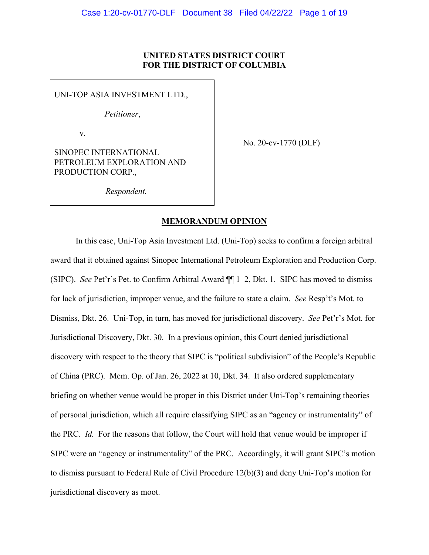### **UNITED STATES DISTRICT COURT FOR THE DISTRICT OF COLUMBIA**

UNI-TOP ASIA INVESTMENT LTD.,

*Petitioner*,

v.

No. 20-cv-1770 (DLF)

SINOPEC INTERNATIONAL PETROLEUM EXPLORATION AND PRODUCTION CORP.,

*Respondent.*

### **MEMORANDUM OPINION**

In this case, Uni-Top Asia Investment Ltd. (Uni-Top) seeks to confirm a foreign arbitral award that it obtained against Sinopec International Petroleum Exploration and Production Corp. (SIPC). *See* Pet'r's Pet. to Confirm Arbitral Award ¶¶ 1–2, Dkt. 1. SIPC has moved to dismiss for lack of jurisdiction, improper venue, and the failure to state a claim. *See* Resp't's Mot. to Dismiss, Dkt. 26. Uni-Top, in turn, has moved for jurisdictional discovery. *See* Pet'r's Mot. for Jurisdictional Discovery, Dkt. 30. In a previous opinion, this Court denied jurisdictional discovery with respect to the theory that SIPC is "political subdivision" of the People's Republic of China (PRC). Mem. Op. of Jan. 26, 2022 at 10, Dkt. 34. It also ordered supplementary briefing on whether venue would be proper in this District under Uni-Top's remaining theories of personal jurisdiction, which all require classifying SIPC as an "agency or instrumentality" of the PRC. *Id.* For the reasons that follow, the Court will hold that venue would be improper if SIPC were an "agency or instrumentality" of the PRC. Accordingly, it will grant SIPC's motion to dismiss pursuant to Federal Rule of Civil Procedure 12(b)(3) and deny Uni-Top's motion for jurisdictional discovery as moot.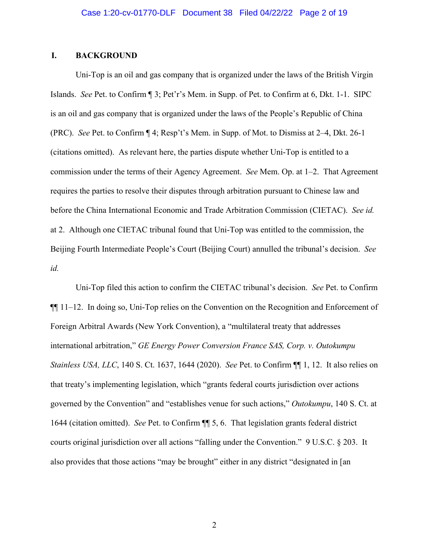## **I. BACKGROUND**

Uni-Top is an oil and gas company that is organized under the laws of the British Virgin Islands. *See* Pet. to Confirm ¶ 3; Pet'r's Mem. in Supp. of Pet. to Confirm at 6, Dkt. 1-1. SIPC is an oil and gas company that is organized under the laws of the People's Republic of China (PRC). *See* Pet. to Confirm ¶ 4; Resp't's Mem. in Supp. of Mot. to Dismiss at 2–4, Dkt. 26-1 (citations omitted). As relevant here, the parties dispute whether Uni-Top is entitled to a commission under the terms of their Agency Agreement. *See* Mem. Op. at 1–2. That Agreement requires the parties to resolve their disputes through arbitration pursuant to Chinese law and before the China International Economic and Trade Arbitration Commission (CIETAC). *See id.* at 2. Although one CIETAC tribunal found that Uni-Top was entitled to the commission, the Beijing Fourth Intermediate People's Court (Beijing Court) annulled the tribunal's decision. *See id.*

Uni-Top filed this action to confirm the CIETAC tribunal's decision. *See* Pet. to Confirm ¶¶ 11–12. In doing so, Uni-Top relies on the Convention on the Recognition and Enforcement of Foreign Arbitral Awards (New York Convention), a "multilateral treaty that addresses international arbitration," *GE Energy Power Conversion France SAS, Corp. v. Outokumpu Stainless USA, LLC*, 140 S. Ct. 1637, 1644 (2020). *See* Pet. to Confirm ¶¶ 1, 12. It also relies on that treaty's implementing legislation, which "grants federal courts jurisdiction over actions governed by the Convention" and "establishes venue for such actions," *Outokumpu*, 140 S. Ct. at 1644 (citation omitted). *See* Pet. to Confirm ¶¶ 5, 6. That legislation grants federal district courts original jurisdiction over all actions "falling under the Convention." 9 U.S.C. § 203. It also provides that those actions "may be brought" either in any district "designated in [an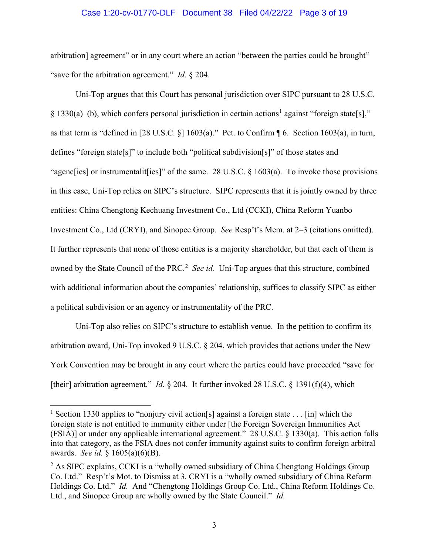#### Case 1:20-cv-01770-DLF Document 38 Filed 04/22/22 Page 3 of 19

arbitration] agreement" or in any court where an action "between the parties could be brought" "save for the arbitration agreement." *Id.* § 204.

Uni-Top argues that this Court has personal jurisdiction over SIPC pursuant to 28 U.S.C. § 1330(a)–(b), which confers personal jurisdiction in certain actions<sup>1</sup> against "foreign state[s]," as that term is "defined in [28 U.S.C. §] 1603(a)." Pet. to Confirm ¶ 6. Section 1603(a), in turn, defines "foreign state[s]" to include both "political subdivision[s]" of those states and "agenc[ies] or instrumentalit[ies]" of the same. 28 U.S.C. § 1603(a). To invoke those provisions in this case, Uni-Top relies on SIPC's structure. SIPC represents that it is jointly owned by three entities: China Chengtong Kechuang Investment Co., Ltd (CCKI), China Reform Yuanbo Investment Co., Ltd (CRYI), and Sinopec Group. *See* Resp't's Mem. at 2–3 (citations omitted). It further represents that none of those entities is a majority shareholder, but that each of them is owned by the State Council of the PRC.<sup>2</sup> See id. Uni-Top argues that this structure, combined with additional information about the companies' relationship, suffices to classify SIPC as either a political subdivision or an agency or instrumentality of the PRC.

Uni-Top also relies on SIPC's structure to establish venue. In the petition to confirm its arbitration award, Uni-Top invoked 9 U.S.C. § 204, which provides that actions under the New York Convention may be brought in any court where the parties could have proceeded "save for [their] arbitration agreement." *Id.* § 204. It further invoked 28 U.S.C. § 1391(f)(4), which

<sup>&</sup>lt;sup>1</sup> Section 1330 applies to "nonjury civil action[s] against a foreign state . . . [in] which the foreign state is not entitled to immunity either under [the Foreign Sovereign Immunities Act (FSIA)] or under any applicable international agreement." 28 U.S.C. § 1330(a). This action falls into that category, as the FSIA does not confer immunity against suits to confirm foreign arbitral awards. *See id.* § 1605(a)(6)(B).

<sup>&</sup>lt;sup>2</sup> As SIPC explains, CCKI is a "wholly owned subsidiary of China Chengtong Holdings Group Co. Ltd." Resp't's Mot. to Dismiss at 3. CRYI is a "wholly owned subsidiary of China Reform Holdings Co. Ltd." *Id.* And "Chengtong Holdings Group Co. Ltd., China Reform Holdings Co. Ltd., and Sinopec Group are wholly owned by the State Council." *Id.*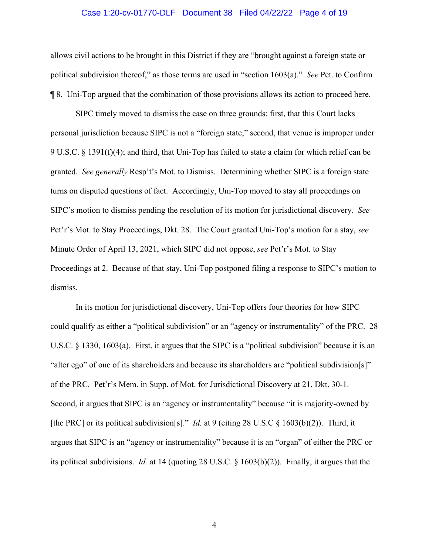#### Case 1:20-cv-01770-DLF Document 38 Filed 04/22/22 Page 4 of 19

allows civil actions to be brought in this District if they are "brought against a foreign state or political subdivision thereof," as those terms are used in "section 1603(a)." *See* Pet. to Confirm ¶ 8. Uni-Top argued that the combination of those provisions allows its action to proceed here.

SIPC timely moved to dismiss the case on three grounds: first, that this Court lacks personal jurisdiction because SIPC is not a "foreign state;" second, that venue is improper under 9 U.S.C. § 1391(f)(4); and third, that Uni-Top has failed to state a claim for which relief can be granted. *See generally* Resp't's Mot. to Dismiss. Determining whether SIPC is a foreign state turns on disputed questions of fact. Accordingly, Uni-Top moved to stay all proceedings on SIPC's motion to dismiss pending the resolution of its motion for jurisdictional discovery. *See* Pet'r's Mot. to Stay Proceedings, Dkt. 28. The Court granted Uni-Top's motion for a stay, *see* Minute Order of April 13, 2021, which SIPC did not oppose, *see* Pet'r's Mot. to Stay Proceedings at 2. Because of that stay, Uni-Top postponed filing a response to SIPC's motion to dismiss.

In its motion for jurisdictional discovery, Uni-Top offers four theories for how SIPC could qualify as either a "political subdivision" or an "agency or instrumentality" of the PRC. 28 U.S.C. § 1330, 1603(a). First, it argues that the SIPC is a "political subdivision" because it is an "alter ego" of one of its shareholders and because its shareholders are "political subdivision[s]" of the PRC. Pet'r's Mem. in Supp. of Mot. for Jurisdictional Discovery at 21, Dkt. 30-1. Second, it argues that SIPC is an "agency or instrumentality" because "it is majority-owned by [the PRC] or its political subdivision[s]." *Id.* at 9 (citing 28 U.S.C § 1603(b)(2)). Third, it argues that SIPC is an "agency or instrumentality" because it is an "organ" of either the PRC or its political subdivisions. *Id.* at 14 (quoting 28 U.S.C. § 1603(b)(2)). Finally, it argues that the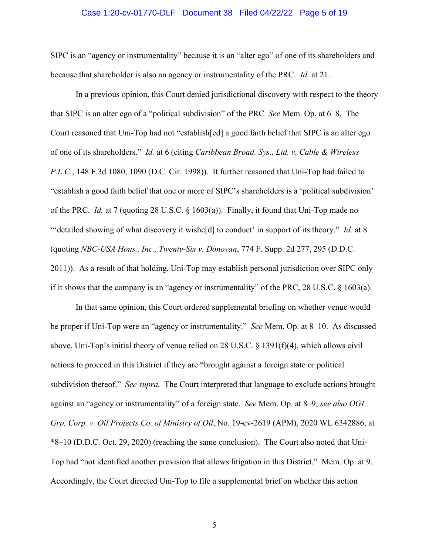#### Case 1:20-cv-01770-DLF Document 38 Filed 04/22/22 Page 5 of 19

SIPC is an "agency or instrumentality" because it is an "alter ego" of one of its shareholders and because that shareholder is also an agency or instrumentality of the PRC. *Id.* at 21.

In a previous opinion, this Court denied jurisdictional discovery with respect to the theory that SIPC is an alter ego of a "political subdivision" of the PRC *See* Mem. Op. at 6–8. The Court reasoned that Uni-Top had not "establish[ed] a good faith belief that SIPC is an alter ego of one of its shareholders." *Id.* at 6 (citing *Caribbean Broad. Sys., Ltd. v. Cable & Wireless P.L.C.*, 148 F.3d 1080, 1090 (D.C. Cir. 1998)). It further reasoned that Uni-Top had failed to "establish a good faith belief that one or more of SIPC's shareholders is a 'political subdivision' of the PRC. *Id.* at 7 (quoting 28 U.S.C. § 1603(a)). Finally, it found that Uni-Top made no ""detailed showing of what discovery it wishe<sup>[d]</sup> to conduct' in support of its theory." *Id.* at 8 (quoting *NBC-USA Hous., Inc., Twenty-Six v. Donovan*, 774 F. Supp. 2d 277, 295 (D.D.C. 2011)). As a result of that holding, Uni-Top may establish personal jurisdiction over SIPC only if it shows that the company is an "agency or instrumentality" of the PRC, 28 U.S.C. § 1603(a).

In that same opinion, this Court ordered supplemental briefing on whether venue would be proper if Uni-Top were an "agency or instrumentality." *See* Mem. Op. at 8–10. As discussed above, Uni-Top's initial theory of venue relied on 28 U.S.C. § 1391(f)(4), which allows civil actions to proceed in this District if they are "brought against a foreign state or political subdivision thereof." *See supra.* The Court interpreted that language to exclude actions brought against an "agency or instrumentality" of a foreign state. *See* Mem. Op. at 8–9; *see also OGI Grp. Corp. v. Oil Projects Co. of Ministry of Oil*, No. 19-cv-2619 (APM), 2020 WL 6342886, at \*8–10 (D.D.C. Oct. 29, 2020) (reaching the same conclusion). The Court also noted that Uni-Top had "not identified another provision that allows litigation in this District." Mem. Op. at 9. Accordingly, the Court directed Uni-Top to file a supplemental brief on whether this action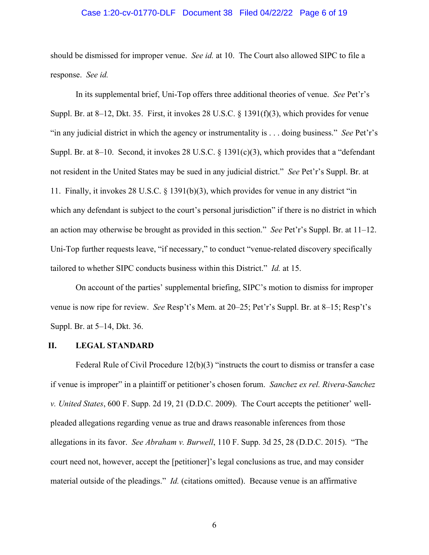#### Case 1:20-cv-01770-DLF Document 38 Filed 04/22/22 Page 6 of 19

should be dismissed for improper venue. *See id.* at 10. The Court also allowed SIPC to file a response. *See id.*

In its supplemental brief, Uni-Top offers three additional theories of venue. *See* Pet'r's Suppl. Br. at 8–12, Dkt. 35. First, it invokes 28 U.S.C. § 1391(f)(3), which provides for venue "in any judicial district in which the agency or instrumentality is . . . doing business." *See* Pet'r's Suppl. Br. at 8–10. Second, it invokes 28 U.S.C. § 1391(c)(3), which provides that a "defendant not resident in the United States may be sued in any judicial district." *See* Pet'r's Suppl. Br. at 11. Finally, it invokes 28 U.S.C. § 1391(b)(3), which provides for venue in any district "in which any defendant is subject to the court's personal jurisdiction" if there is no district in which an action may otherwise be brought as provided in this section." *See* Pet'r's Suppl. Br. at 11–12. Uni-Top further requests leave, "if necessary," to conduct "venue-related discovery specifically tailored to whether SIPC conducts business within this District." *Id.* at 15.

On account of the parties' supplemental briefing, SIPC's motion to dismiss for improper venue is now ripe for review. *See* Resp't's Mem. at 20–25; Pet'r's Suppl. Br. at 8–15; Resp't's Suppl. Br. at 5–14, Dkt. 36.

#### **II. LEGAL STANDARD**

Federal Rule of Civil Procedure  $12(b)(3)$  "instructs the court to dismiss or transfer a case if venue is improper" in a plaintiff or petitioner's chosen forum. *Sanchez ex rel. Rivera-Sanchez v. United States*, 600 F. Supp. 2d 19, 21 (D.D.C. 2009). The Court accepts the petitioner' wellpleaded allegations regarding venue as true and draws reasonable inferences from those allegations in its favor. *See Abraham v. Burwell*, 110 F. Supp. 3d 25, 28 (D.D.C. 2015). "The court need not, however, accept the [petitioner]'s legal conclusions as true, and may consider material outside of the pleadings." *Id.* (citations omitted). Because venue is an affirmative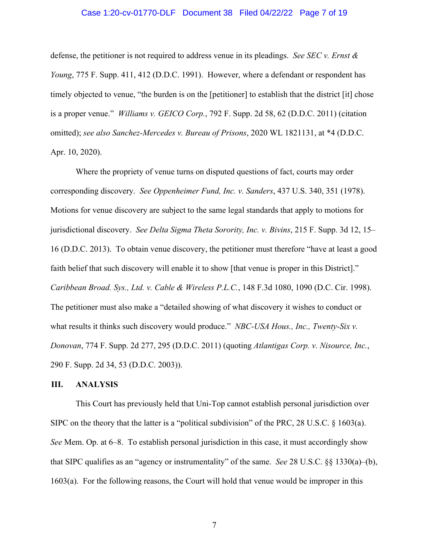#### Case 1:20-cv-01770-DLF Document 38 Filed 04/22/22 Page 7 of 19

defense, the petitioner is not required to address venue in its pleadings. *See SEC v. Ernst & Young*, 775 F. Supp. 411, 412 (D.D.C. 1991). However, where a defendant or respondent has timely objected to venue, "the burden is on the [petitioner] to establish that the district [it] chose is a proper venue." *Williams v. GEICO Corp.*, 792 F. Supp. 2d 58, 62 (D.D.C. 2011) (citation omitted); *see also Sanchez-Mercedes v. Bureau of Prisons*, 2020 WL 1821131, at \*4 (D.D.C. Apr. 10, 2020).

Where the propriety of venue turns on disputed questions of fact, courts may order corresponding discovery. *See Oppenheimer Fund, Inc. v. Sanders*, 437 U.S. 340, 351 (1978). Motions for venue discovery are subject to the same legal standards that apply to motions for jurisdictional discovery. *See Delta Sigma Theta Sorority, Inc. v. Bivins*, 215 F. Supp. 3d 12, 15– 16 (D.D.C. 2013). To obtain venue discovery, the petitioner must therefore "have at least a good faith belief that such discovery will enable it to show [that venue is proper in this District]." *Caribbean Broad. Sys., Ltd. v. Cable & Wireless P.L.C.*, 148 F.3d 1080, 1090 (D.C. Cir. 1998). The petitioner must also make a "detailed showing of what discovery it wishes to conduct or what results it thinks such discovery would produce." *NBC-USA Hous., Inc., Twenty-Six v. Donovan*, 774 F. Supp. 2d 277, 295 (D.D.C. 2011) (quoting *Atlantigas Corp. v. Nisource, Inc.*, 290 F. Supp. 2d 34, 53 (D.D.C. 2003)).

#### **III. ANALYSIS**

This Court has previously held that Uni-Top cannot establish personal jurisdiction over SIPC on the theory that the latter is a "political subdivision" of the PRC, 28 U.S.C. § 1603(a). *See* Mem. Op. at 6–8. To establish personal jurisdiction in this case, it must accordingly show that SIPC qualifies as an "agency or instrumentality" of the same. *See* 28 U.S.C. §§ 1330(a)–(b), 1603(a). For the following reasons, the Court will hold that venue would be improper in this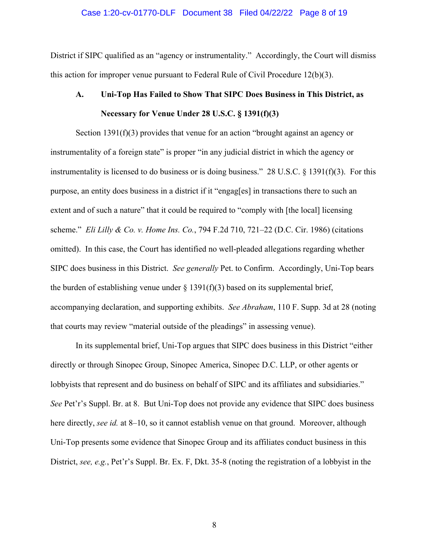#### Case 1:20-cv-01770-DLF Document 38 Filed 04/22/22 Page 8 of 19

District if SIPC qualified as an "agency or instrumentality." Accordingly, the Court will dismiss this action for improper venue pursuant to Federal Rule of Civil Procedure  $12(b)(3)$ .

# **A. Uni-Top Has Failed to Show That SIPC Does Business in This District, as Necessary for Venue Under 28 U.S.C. § 1391(f)(3)**

Section 1391(f)(3) provides that venue for an action "brought against an agency or instrumentality of a foreign state" is proper "in any judicial district in which the agency or instrumentality is licensed to do business or is doing business." 28 U.S.C.  $\S$  1391(f)(3). For this purpose, an entity does business in a district if it "engag[es] in transactions there to such an extent and of such a nature" that it could be required to "comply with [the local] licensing scheme." *Eli Lilly & Co. v. Home Ins. Co.*, 794 F.2d 710, 721–22 (D.C. Cir. 1986) (citations omitted). In this case, the Court has identified no well-pleaded allegations regarding whether SIPC does business in this District. *See generally* Pet. to Confirm. Accordingly, Uni-Top bears the burden of establishing venue under  $\S 1391(f)(3)$  based on its supplemental brief, accompanying declaration, and supporting exhibits. *See Abraham*, 110 F. Supp. 3d at 28 (noting that courts may review "material outside of the pleadings" in assessing venue).

In its supplemental brief, Uni-Top argues that SIPC does business in this District "either directly or through Sinopec Group, Sinopec America, Sinopec D.C. LLP, or other agents or lobbyists that represent and do business on behalf of SIPC and its affiliates and subsidiaries." *See* Pet'r's Suppl. Br. at 8. But Uni-Top does not provide any evidence that SIPC does business here directly, *see id.* at 8–10, so it cannot establish venue on that ground. Moreover, although Uni-Top presents some evidence that Sinopec Group and its affiliates conduct business in this District, *see, e.g.*, Pet'r's Suppl. Br. Ex. F, Dkt. 35-8 (noting the registration of a lobbyist in the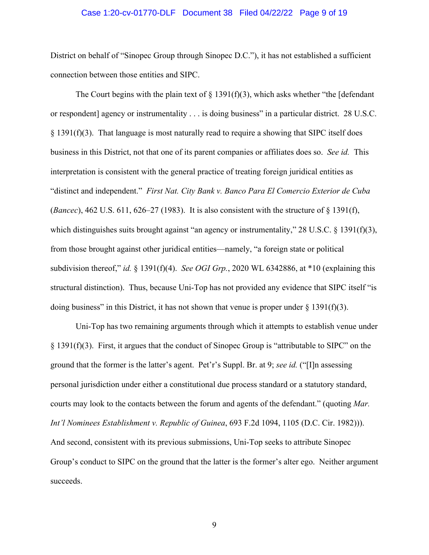#### Case 1:20-cv-01770-DLF Document 38 Filed 04/22/22 Page 9 of 19

District on behalf of "Sinopec Group through Sinopec D.C."), it has not established a sufficient connection between those entities and SIPC.

The Court begins with the plain text of  $\S$  1391(f)(3), which asks whether "the [defendant or respondent] agency or instrumentality . . . is doing business" in a particular district. 28 U.S.C.  $§$  1391(f)(3). That language is most naturally read to require a showing that SIPC itself does business in this District, not that one of its parent companies or affiliates does so. *See id.* This interpretation is consistent with the general practice of treating foreign juridical entities as "distinct and independent." *First Nat. City Bank v. Banco Para El Comercio Exterior de Cuba*  (*Bancec*), 462 U.S. 611, 626–27 (1983). It is also consistent with the structure of § 1391(f), which distinguishes suits brought against "an agency or instrumentality," 28 U.S.C. § 1391(f)(3), from those brought against other juridical entities—namely, "a foreign state or political subdivision thereof," *id.* § 1391(f)(4). *See OGI Grp.*, 2020 WL 6342886, at \*10 (explaining this structural distinction). Thus, because Uni-Top has not provided any evidence that SIPC itself "is doing business" in this District, it has not shown that venue is proper under  $\S$  1391(f)(3).

Uni-Top has two remaining arguments through which it attempts to establish venue under § 1391(f)(3). First, it argues that the conduct of Sinopec Group is "attributable to SIPC" on the ground that the former is the latter's agent. Pet'r's Suppl. Br. at 9; *see id.* ("[I]n assessing personal jurisdiction under either a constitutional due process standard or a statutory standard, courts may look to the contacts between the forum and agents of the defendant." (quoting *Mar. Int'l Nominees Establishment v. Republic of Guinea*, 693 F.2d 1094, 1105 (D.C. Cir. 1982))). And second, consistent with its previous submissions, Uni-Top seeks to attribute Sinopec Group's conduct to SIPC on the ground that the latter is the former's alter ego. Neither argument succeeds.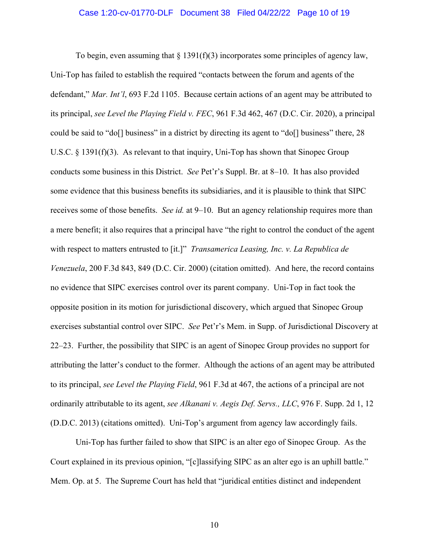#### Case 1:20-cv-01770-DLF Document 38 Filed 04/22/22 Page 10 of 19

To begin, even assuming that  $\S 1391(f)(3)$  incorporates some principles of agency law, Uni-Top has failed to establish the required "contacts between the forum and agents of the defendant," *Mar. Int'l*, 693 F.2d 1105. Because certain actions of an agent may be attributed to its principal, *see Level the Playing Field v. FEC*, 961 F.3d 462, 467 (D.C. Cir. 2020), a principal could be said to "do[] business" in a district by directing its agent to "do[] business" there, 28 U.S.C. § 1391(f)(3). As relevant to that inquiry, Uni-Top has shown that Sinopec Group conducts some business in this District. *See* Pet'r's Suppl. Br. at 8–10. It has also provided some evidence that this business benefits its subsidiaries, and it is plausible to think that SIPC receives some of those benefits. *See id.* at 9–10. But an agency relationship requires more than a mere benefit; it also requires that a principal have "the right to control the conduct of the agent with respect to matters entrusted to [it.]" *Transamerica Leasing, Inc. v. La Republica de Venezuela*, 200 F.3d 843, 849 (D.C. Cir. 2000) (citation omitted). And here, the record contains no evidence that SIPC exercises control over its parent company. Uni-Top in fact took the opposite position in its motion for jurisdictional discovery, which argued that Sinopec Group exercises substantial control over SIPC. *See* Pet'r's Mem. in Supp. of Jurisdictional Discovery at 22–23. Further, the possibility that SIPC is an agent of Sinopec Group provides no support for attributing the latter's conduct to the former. Although the actions of an agent may be attributed to its principal, *see Level the Playing Field*, 961 F.3d at 467, the actions of a principal are not ordinarily attributable to its agent, *see Alkanani v. Aegis Def. Servs., LLC*, 976 F. Supp. 2d 1, 12 (D.D.C. 2013) (citations omitted). Uni-Top's argument from agency law accordingly fails.

Uni-Top has further failed to show that SIPC is an alter ego of Sinopec Group. As the Court explained in its previous opinion, "[c]lassifying SIPC as an alter ego is an uphill battle." Mem. Op. at 5. The Supreme Court has held that "juridical entities distinct and independent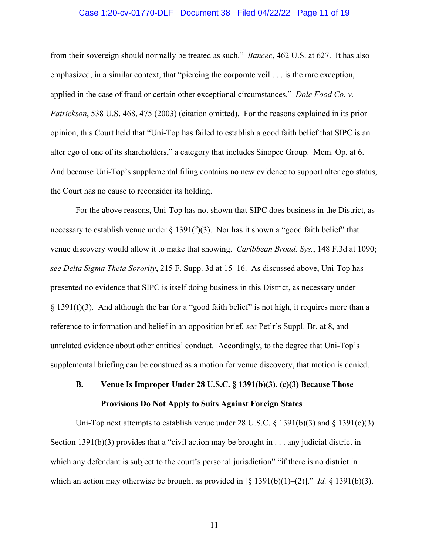#### Case 1:20-cv-01770-DLF Document 38 Filed 04/22/22 Page 11 of 19

from their sovereign should normally be treated as such." *Bancec*, 462 U.S. at 627. It has also emphasized, in a similar context, that "piercing the corporate veil . . . is the rare exception, applied in the case of fraud or certain other exceptional circumstances." *Dole Food Co. v. Patrickson*, 538 U.S. 468, 475 (2003) (citation omitted). For the reasons explained in its prior opinion, this Court held that "Uni-Top has failed to establish a good faith belief that SIPC is an alter ego of one of its shareholders," a category that includes Sinopec Group. Mem. Op. at 6. And because Uni-Top's supplemental filing contains no new evidence to support alter ego status, the Court has no cause to reconsider its holding.

For the above reasons, Uni-Top has not shown that SIPC does business in the District, as necessary to establish venue under  $\S 1391(f)(3)$ . Nor has it shown a "good faith belief" that venue discovery would allow it to make that showing. *Caribbean Broad. Sys.*, 148 F.3d at 1090; *see Delta Sigma Theta Sorority*, 215 F. Supp. 3d at 15–16. As discussed above, Uni-Top has presented no evidence that SIPC is itself doing business in this District, as necessary under § 1391(f)(3). And although the bar for a "good faith belief" is not high, it requires more than a reference to information and belief in an opposition brief, *see* Pet'r's Suppl. Br. at 8, and unrelated evidence about other entities' conduct. Accordingly, to the degree that Uni-Top's supplemental briefing can be construed as a motion for venue discovery, that motion is denied.

# **B. Venue Is Improper Under 28 U.S.C. § 1391(b)(3), (c)(3) Because Those Provisions Do Not Apply to Suits Against Foreign States**

Uni-Top next attempts to establish venue under 28 U.S.C.  $\S$  1391(b)(3) and  $\S$  1391(c)(3). Section 1391(b)(3) provides that a "civil action may be brought in  $\dots$  any judicial district in which any defendant is subject to the court's personal jurisdiction" "if there is no district in which an action may otherwise be brought as provided in  $\lceil \S 1391(b)(1)-(2) \rceil$ ." *Id.*  $\S 1391(b)(3)$ .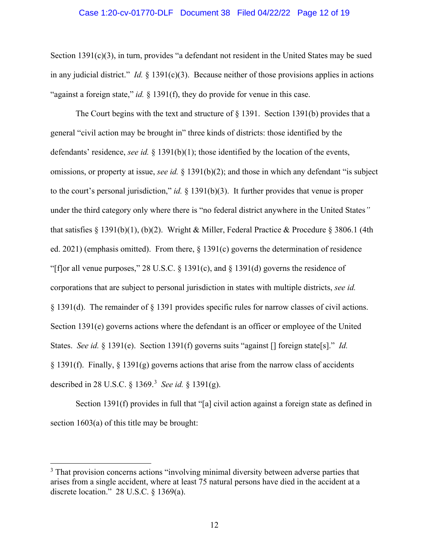#### Case 1:20-cv-01770-DLF Document 38 Filed 04/22/22 Page 12 of 19

Section 1391(c)(3), in turn, provides "a defendant not resident in the United States may be sued in any judicial district." *Id.* § 1391(c)(3). Because neither of those provisions applies in actions "against a foreign state," *id.* § 1391(f), they do provide for venue in this case.

The Court begins with the text and structure of § 1391. Section 1391(b) provides that a general "civil action may be brought in" three kinds of districts: those identified by the defendants' residence, *see id.* § 1391(b)(1); those identified by the location of the events, omissions, or property at issue, *see id.* § 1391(b)(2); and those in which any defendant "is subject to the court's personal jurisdiction," *id.* § 1391(b)(3). It further provides that venue is proper under the third category only where there is "no federal district anywhere in the United States*"*  that satisfies § 1391(b)(1), (b)(2). Wright & Miller, Federal Practice & Procedure § 3806.1 (4th ed. 2021) (emphasis omitted). From there, § 1391(c) governs the determination of residence "[f]or all venue purposes," 28 U.S.C.  $\S$  1391(c), and  $\S$  1391(d) governs the residence of corporations that are subject to personal jurisdiction in states with multiple districts, *see id.* § 1391(d). The remainder of § 1391 provides specific rules for narrow classes of civil actions. Section 1391(e) governs actions where the defendant is an officer or employee of the United States. *See id.* § 1391(e). Section 1391(f) governs suits "against [] foreign state[s]." *Id.*  $\S 1391(f)$ . Finally,  $\S 1391(g)$  governs actions that arise from the narrow class of accidents described in 28 U.S.C. § 1369.<sup>3</sup> *See id.* § 1391(g).

Section 1391(f) provides in full that "[a] civil action against a foreign state as defined in section 1603(a) of this title may be brought:

<sup>&</sup>lt;sup>3</sup> That provision concerns actions "involving minimal diversity between adverse parties that arises from a single accident, where at least 75 natural persons have died in the accident at a discrete location." 28 U.S.C. § 1369(a).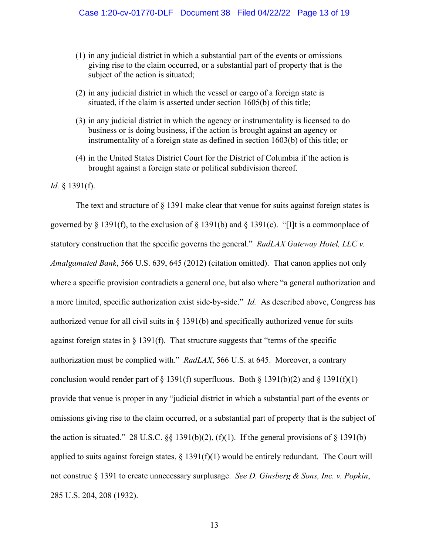- (1) in any judicial district in which a substantial part of the events or omissions giving rise to the claim occurred, or a substantial part of property that is the subject of the action is situated;
- (2) in any judicial district in which the vessel or cargo of a foreign state is situated, if the claim is asserted under section 1605(b) of this title;
- (3) in any judicial district in which the agency or instrumentality is licensed to do business or is doing business, if the action is brought against an agency or instrumentality of a foreign state as defined in section 1603(b) of this title; or
- (4) in the United States District Court for the District of Columbia if the action is brought against a foreign state or political subdivision thereof.

#### *Id.* § 1391(f).

The text and structure of  $\S$  1391 make clear that venue for suits against foreign states is governed by § 1391(f), to the exclusion of § 1391(b) and § 1391(c). "[I]t is a commonplace of statutory construction that the specific governs the general." *RadLAX Gateway Hotel, LLC v. Amalgamated Bank*, 566 U.S. 639, 645 (2012) (citation omitted). That canon applies not only where a specific provision contradicts a general one, but also where "a general authorization and a more limited, specific authorization exist side-by-side." *Id.* As described above, Congress has authorized venue for all civil suits in § 1391(b) and specifically authorized venue for suits against foreign states in § 1391(f). That structure suggests that "terms of the specific authorization must be complied with." *RadLAX*, 566 U.S. at 645. Moreover, a contrary conclusion would render part of  $\S 1391(f)$  superfluous. Both  $\S 1391(b)(2)$  and  $\S 1391(f)(1)$ provide that venue is proper in any "judicial district in which a substantial part of the events or omissions giving rise to the claim occurred, or a substantial part of property that is the subject of the action is situated." 28 U.S.C.  $\S$  1391(b)(2), (f)(1). If the general provisions of  $\S$  1391(b) applied to suits against foreign states,  $\S 1391(f)(1)$  would be entirely redundant. The Court will not construe § 1391 to create unnecessary surplusage. *See D. Ginsberg & Sons, Inc. v. Popkin*, 285 U.S. 204, 208 (1932).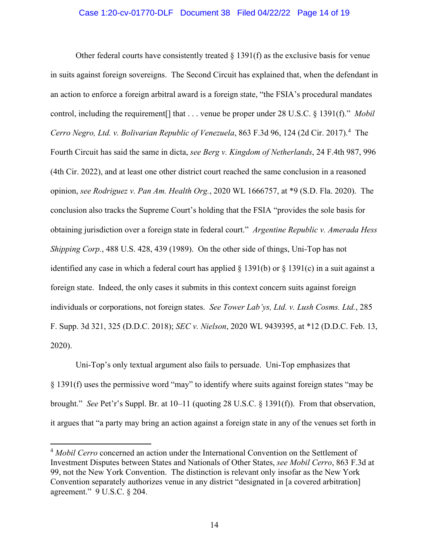#### Case 1:20-cv-01770-DLF Document 38 Filed 04/22/22 Page 14 of 19

Other federal courts have consistently treated  $\S 1391(f)$  as the exclusive basis for venue in suits against foreign sovereigns. The Second Circuit has explained that, when the defendant in an action to enforce a foreign arbitral award is a foreign state, "the FSIA's procedural mandates control, including the requirement[] that . . . venue be proper under 28 U.S.C. § 1391(f)." *Mobil*  Cerro Negro, Ltd. v. Bolivarian Republic of Venezuela, 863 F.3d 96, 124 (2d Cir. 2017).<sup>4</sup> The Fourth Circuit has said the same in dicta, *see Berg v. Kingdom of Netherlands*, 24 F.4th 987, 996 (4th Cir. 2022), and at least one other district court reached the same conclusion in a reasoned opinion, *see Rodriguez v. Pan Am. Health Org.*, 2020 WL 1666757, at \*9 (S.D. Fla. 2020). The conclusion also tracks the Supreme Court's holding that the FSIA "provides the sole basis for obtaining jurisdiction over a foreign state in federal court." *Argentine Republic v. Amerada Hess Shipping Corp.*, 488 U.S. 428, 439 (1989). On the other side of things, Uni-Top has not identified any case in which a federal court has applied  $\S$  1391(b) or  $\S$  1391(c) in a suit against a foreign state. Indeed, the only cases it submits in this context concern suits against foreign individuals or corporations, not foreign states. *See Tower Lab'ys, Ltd. v. Lush Cosms. Ltd.*, 285 F. Supp. 3d 321, 325 (D.D.C. 2018); *SEC v. Nielson*, 2020 WL 9439395, at \*12 (D.D.C. Feb. 13, 2020).

Uni-Top's only textual argument also fails to persuade. Uni-Top emphasizes that § 1391(f) uses the permissive word "may" to identify where suits against foreign states "may be brought." *See* Pet'r's Suppl. Br. at 10–11 (quoting 28 U.S.C. § 1391(f)). From that observation, it argues that "a party may bring an action against a foreign state in any of the venues set forth in

<sup>4</sup> *Mobil Cerro* concerned an action under the International Convention on the Settlement of Investment Disputes between States and Nationals of Other States, *see Mobil Cerro*, 863 F.3d at 99, not the New York Convention. The distinction is relevant only insofar as the New York Convention separately authorizes venue in any district "designated in [a covered arbitration] agreement." 9 U.S.C. § 204.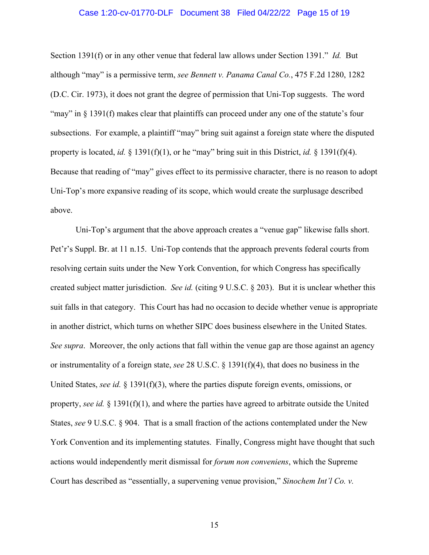## Case 1:20-cv-01770-DLF Document 38 Filed 04/22/22 Page 15 of 19

Section 1391(f) or in any other venue that federal law allows under Section 1391." *Id.* But although "may" is a permissive term, *see Bennett v. Panama Canal Co.*, 475 F.2d 1280, 1282 (D.C. Cir. 1973), it does not grant the degree of permission that Uni-Top suggests. The word "may" in § 1391(f) makes clear that plaintiffs can proceed under any one of the statute's four subsections. For example, a plaintiff "may" bring suit against a foreign state where the disputed property is located, *id.* § 1391(f)(1), or he "may" bring suit in this District, *id.* § 1391(f)(4). Because that reading of "may" gives effect to its permissive character, there is no reason to adopt Uni-Top's more expansive reading of its scope, which would create the surplusage described above.

Uni-Top's argument that the above approach creates a "venue gap" likewise falls short. Pet'r's Suppl. Br. at 11 n.15. Uni-Top contends that the approach prevents federal courts from resolving certain suits under the New York Convention, for which Congress has specifically created subject matter jurisdiction. *See id.* (citing 9 U.S.C. § 203). But it is unclear whether this suit falls in that category. This Court has had no occasion to decide whether venue is appropriate in another district, which turns on whether SIPC does business elsewhere in the United States. *See supra*. Moreover, the only actions that fall within the venue gap are those against an agency or instrumentality of a foreign state, *see* 28 U.S.C. § 1391(f)(4), that does no business in the United States, *see id.* § 1391(f)(3), where the parties dispute foreign events, omissions, or property, *see id.* § 1391(f)(1), and where the parties have agreed to arbitrate outside the United States, *see* 9 U.S.C. § 904. That is a small fraction of the actions contemplated under the New York Convention and its implementing statutes. Finally, Congress might have thought that such actions would independently merit dismissal for *forum non conveniens*, which the Supreme Court has described as "essentially, a supervening venue provision," *Sinochem Int'l Co. v.*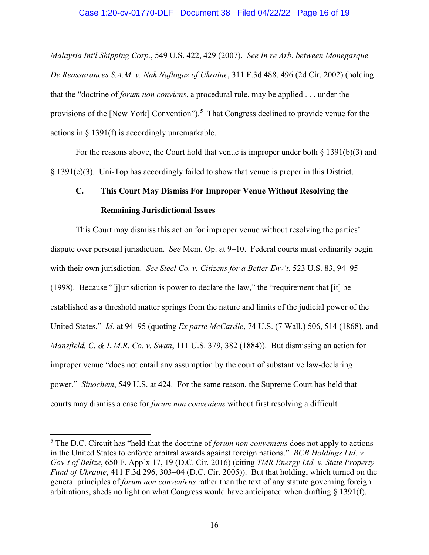*Malaysia Int'l Shipping Corp.*, 549 U.S. 422, 429 (2007). *See In re Arb. between Monegasque De Reassurances S.A.M. v. Nak Naftogaz of Ukraine*, 311 F.3d 488, 496 (2d Cir. 2002) (holding that the "doctrine of *forum non conviens*, a procedural rule, may be applied . . . under the provisions of the [New York] Convention").<sup>5</sup> That Congress declined to provide venue for the actions in § 1391(f) is accordingly unremarkable.

For the reasons above, the Court hold that venue is improper under both  $\S 1391(b)(3)$  and § 1391(c)(3). Uni-Top has accordingly failed to show that venue is proper in this District.

# **C. This Court May Dismiss For Improper Venue Without Resolving the Remaining Jurisdictional Issues**

This Court may dismiss this action for improper venue without resolving the parties' dispute over personal jurisdiction. *See* Mem. Op. at 9–10. Federal courts must ordinarily begin with their own jurisdiction. *See Steel Co. v. Citizens for a Better Env't*, 523 U.S. 83, 94–95 (1998). Because "[j]urisdiction is power to declare the law," the "requirement that [it] be established as a threshold matter springs from the nature and limits of the judicial power of the United States." *Id.* at 94–95 (quoting *Ex parte McCardle*, 74 U.S. (7 Wall.) 506, 514 (1868), and *Mansfield, C. & L.M.R. Co. v. Swan*, 111 U.S. 379, 382 (1884)). But dismissing an action for improper venue "does not entail any assumption by the court of substantive law-declaring power." *Sinochem*, 549 U.S. at 424. For the same reason, the Supreme Court has held that courts may dismiss a case for *forum non conveniens* without first resolving a difficult

<sup>5</sup> The D.C. Circuit has "held that the doctrine of *forum non conveniens* does not apply to actions in the United States to enforce arbitral awards against foreign nations." *BCB Holdings Ltd. v. Gov't of Belize*, 650 F. App'x 17, 19 (D.C. Cir. 2016) (citing *TMR Energy Ltd. v. State Property Fund of Ukraine*, 411 F.3d 296, 303–04 (D.C. Cir. 2005)). But that holding, which turned on the general principles of *forum non conveniens* rather than the text of any statute governing foreign arbitrations, sheds no light on what Congress would have anticipated when drafting § 1391(f).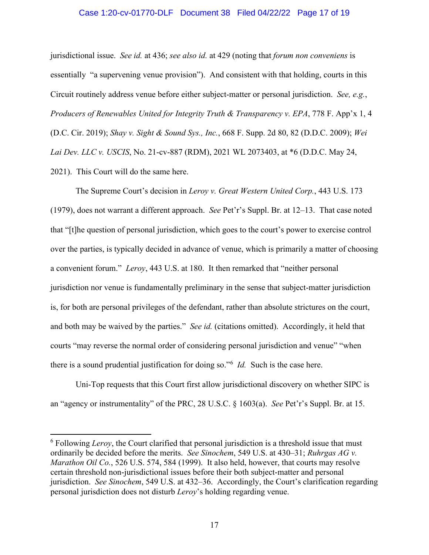#### Case 1:20-cv-01770-DLF Document 38 Filed 04/22/22 Page 17 of 19

jurisdictional issue. *See id.* at 436; *see also id.* at 429 (noting that *forum non conveniens* is essentially "a supervening venue provision"). And consistent with that holding, courts in this Circuit routinely address venue before either subject-matter or personal jurisdiction. *See, e.g.*, *Producers of Renewables United for Integrity Truth & Transparency v. EPA*, 778 F. App'x 1, 4 (D.C. Cir. 2019); *Shay v. Sight & Sound Sys., Inc.*, 668 F. Supp. 2d 80, 82 (D.D.C. 2009); *Wei Lai Dev. LLC v. USCIS*, No. 21-cv-887 (RDM), 2021 WL 2073403, at \*6 (D.D.C. May 24, 2021). This Court will do the same here.

The Supreme Court's decision in *Leroy v. Great Western United Corp.*, 443 U.S. 173 (1979), does not warrant a different approach. *See* Pet'r's Suppl. Br. at 12–13. That case noted that "[t]he question of personal jurisdiction, which goes to the court's power to exercise control over the parties, is typically decided in advance of venue, which is primarily a matter of choosing a convenient forum." *Leroy*, 443 U.S. at 180. It then remarked that "neither personal jurisdiction nor venue is fundamentally preliminary in the sense that subject-matter jurisdiction is, for both are personal privileges of the defendant, rather than absolute strictures on the court, and both may be waived by the parties." *See id.* (citations omitted). Accordingly, it held that courts "may reverse the normal order of considering personal jurisdiction and venue" "when there is a sound prudential justification for doing so."<sup>6</sup> *Id.* Such is the case here.

Uni-Top requests that this Court first allow jurisdictional discovery on whether SIPC is an "agency or instrumentality" of the PRC, 28 U.S.C. § 1603(a). *See* Pet'r's Suppl. Br. at 15.

<sup>&</sup>lt;sup>6</sup> Following *Leroy*, the Court clarified that personal jurisdiction is a threshold issue that must ordinarily be decided before the merits. *See Sinochem*, 549 U.S. at 430–31; *Ruhrgas AG v. Marathon Oil Co.*, 526 U.S. 574, 584 (1999). It also held, however, that courts may resolve certain threshold non-jurisdictional issues before their both subject-matter and personal jurisdiction. *See Sinochem*, 549 U.S. at 432–36. Accordingly, the Court's clarification regarding personal jurisdiction does not disturb *Leroy*'s holding regarding venue.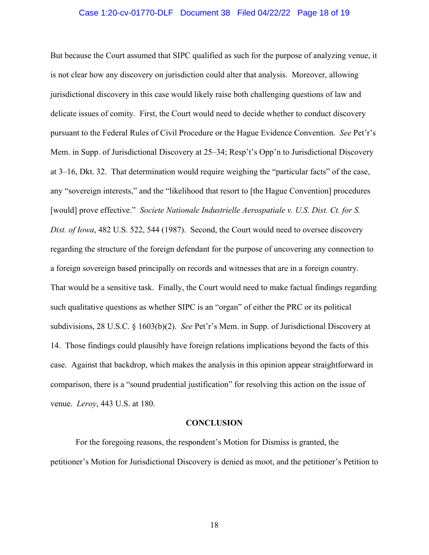#### Case 1:20-cv-01770-DLF Document 38 Filed 04/22/22 Page 18 of 19

But because the Court assumed that SIPC qualified as such for the purpose of analyzing venue, it is not clear how any discovery on jurisdiction could alter that analysis. Moreover, allowing jurisdictional discovery in this case would likely raise both challenging questions of law and delicate issues of comity. First, the Court would need to decide whether to conduct discovery pursuant to the Federal Rules of Civil Procedure or the Hague Evidence Convention. *See* Pet'r's Mem. in Supp. of Jurisdictional Discovery at 25–34; Resp't's Opp'n to Jurisdictional Discovery at 3–16, Dkt. 32. That determination would require weighing the "particular facts" of the case, any "sovereign interests," and the "likelihood that resort to [the Hague Convention] procedures [would] prove effective." *Societe Nationale Industrielle Aerospatiale v. U.S. Dist. Ct. for S. Dist. of Iowa*, 482 U.S. 522, 544 (1987). Second, the Court would need to oversee discovery regarding the structure of the foreign defendant for the purpose of uncovering any connection to a foreign sovereign based principally on records and witnesses that are in a foreign country. That would be a sensitive task. Finally, the Court would need to make factual findings regarding such qualitative questions as whether SIPC is an "organ" of either the PRC or its political subdivisions, 28 U.S.C. § 1603(b)(2). *See* Pet'r's Mem. in Supp. of Jurisdictional Discovery at 14. Those findings could plausibly have foreign relations implications beyond the facts of this case. Against that backdrop, which makes the analysis in this opinion appear straightforward in comparison, there is a "sound prudential justification" for resolving this action on the issue of venue. *Leroy*, 443 U.S. at 180.

#### **CONCLUSION**

For the foregoing reasons, the respondent's Motion for Dismiss is granted, the petitioner's Motion for Jurisdictional Discovery is denied as moot, and the petitioner's Petition to